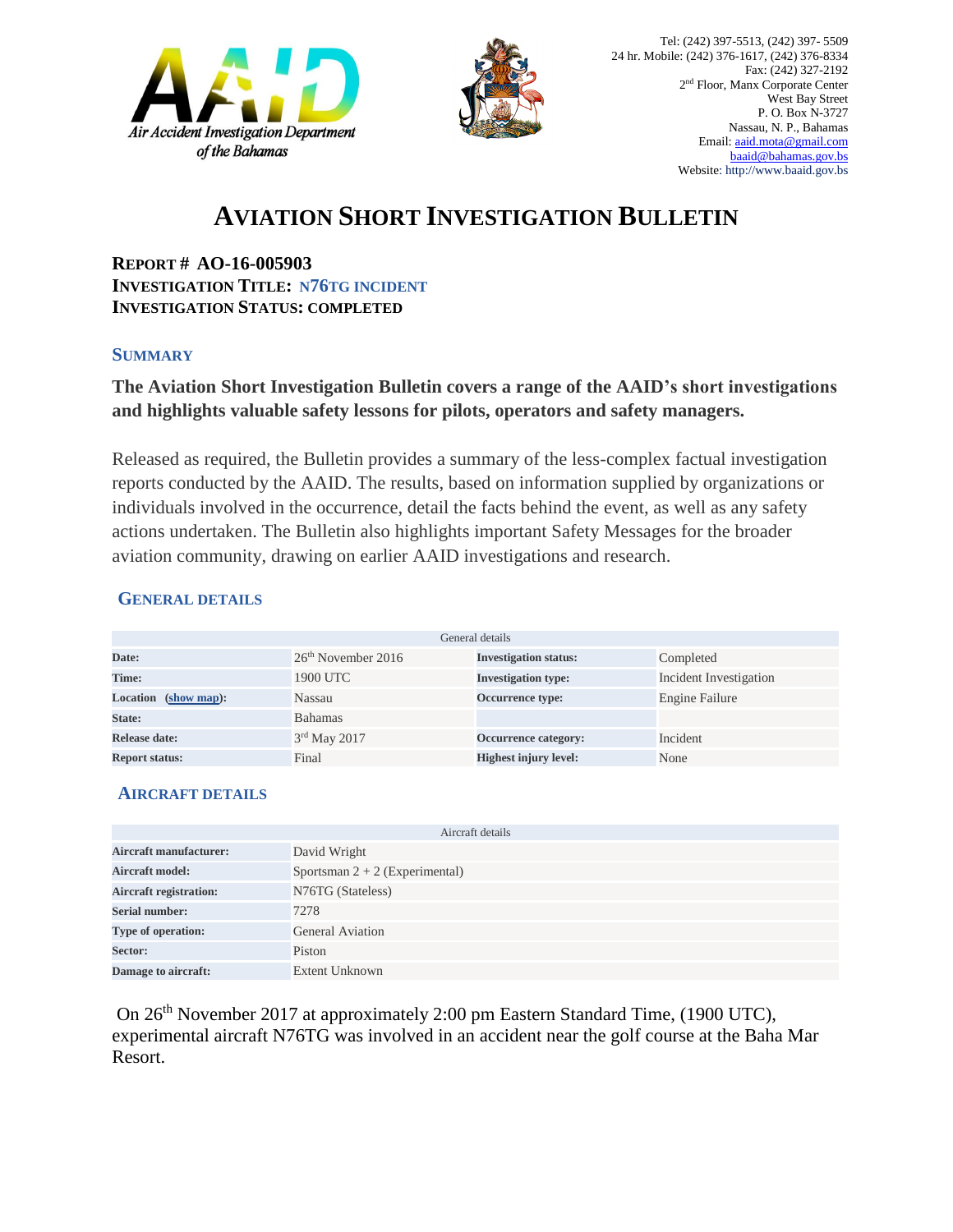



# **AVIATION SHORT INVESTIGATION BULLETIN**

**REPORT # AO-16-005903 INVESTIGATION TITLE: N76TG INCIDENT INVESTIGATION STATUS: COMPLETED**

#### **SUMMARY**

## **The Aviation Short Investigation Bulletin covers a range of the AAID's short investigations and highlights valuable safety lessons for pilots, operators and safety managers.**

Released as required, the Bulletin provides a summary of the less-complex factual investigation reports conducted by the AAID. The results, based on information supplied by organizations or individuals involved in the occurrence, detail the facts behind the event, as well as any safety actions undertaken. The Bulletin also highlights important Safety Messages for the broader aviation community, drawing on earlier AAID investigations and research.

## **GENERAL DETAILS**

| General details       |                      |                              |                        |
|-----------------------|----------------------|------------------------------|------------------------|
| Date:                 | $26th$ November 2016 | <b>Investigation status:</b> | Completed              |
| Time:                 | 1900 UTC             | <b>Investigation type:</b>   | Incident Investigation |
| Location (show map):  | Nassau               | Occurrence type:             | Engine Failure         |
| State:                | <b>Bahamas</b>       |                              |                        |
| Release date:         | 3rd May 2017         | Occurrence category:         | Incident               |
| <b>Report status:</b> | Final                | <b>Highest injury level:</b> | None                   |

## **AIRCRAFT DETAILS**

| Aircraft details              |                                  |  |  |
|-------------------------------|----------------------------------|--|--|
| Aircraft manufacturer:        | David Wright                     |  |  |
| <b>Aircraft model:</b>        | Sportsman $2 + 2$ (Experimental) |  |  |
| <b>Aircraft registration:</b> | N76TG (Stateless)                |  |  |
| <b>Serial number:</b>         | 7278                             |  |  |
| Type of operation:            | <b>General Aviation</b>          |  |  |
| Sector:                       | Piston                           |  |  |
| Damage to aircraft:           | Extent Unknown                   |  |  |

On 26th November 2017 at approximately 2:00 pm Eastern Standard Time, (1900 UTC), experimental aircraft N76TG was involved in an accident near the golf course at the Baha Mar Resort.